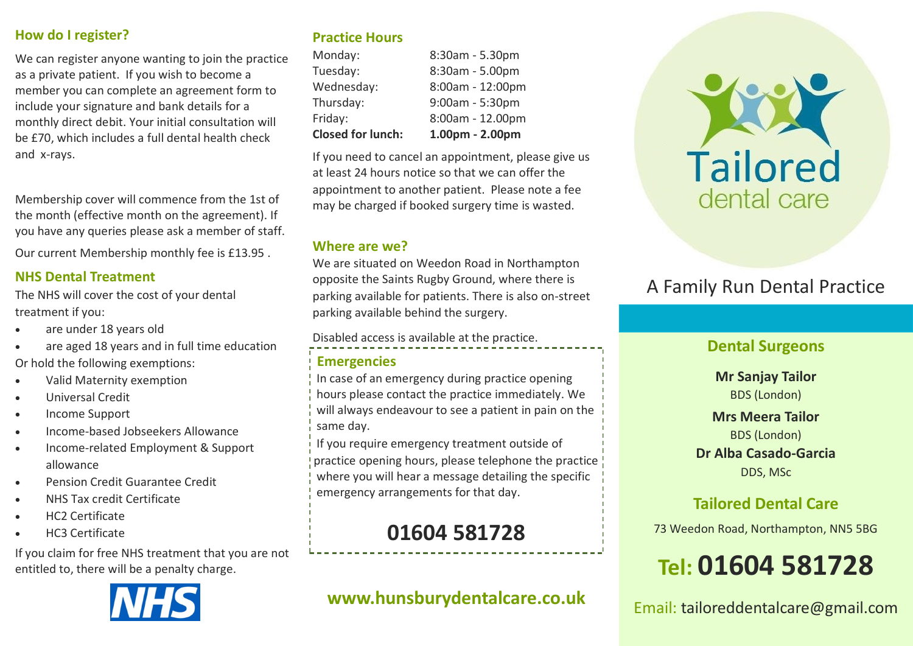### **How do I register?**

We can register anyone wanting to join the practice as a private patient. If you wish to become a member you can complete an agreement form to include your signature and bank details for a monthly direct debit. Your initial consultation will be £70, which includes a full dental health check and x-rays.

Membership cover will commence from the 1st of the month (effective month on the agreement). If you have any queries please ask a member of staff.

Our current Membership monthly fee is £13.95 .

### **NHS Dental Treatment**

The NHS will cover the cost of your dental treatment if you:

- are under 18 years old
- are aged 18 years and in full time education

Or hold the following exemptions:

- Valid Maternity exemption
- Universal Credit
- Income Support
- Income-based Jobseekers Allowance
- Income-related Employment & Support allowance
- Pension Credit Guarantee Credit
- NHS Tax credit Certificate
- HC2 Certificate
- HC3 Certificate

If you claim for free NHS treatment that you are not entitled to, there will be a penalty charge.



### **Practice Hours**

| <b>Closed for lunch:</b> | 1.00pm - 2.00pm   |
|--------------------------|-------------------|
| Friday:                  | 8:00am - 12.00pm  |
| Thursday:                | $9:00am - 5:30pm$ |
| Wednesday:               | 8:00am - 12:00pm  |
| Tuesday:                 | 8:30am - 5.00pm   |
| Monday:                  | 8:30am - 5.30pm   |

If you need to cancel an appointment, please give us at least 24 hours notice so that we can offer the appointment to another patient. Please note a fee may be charged if booked surgery time is wasted.

### **Where are we?**

We are situated on Weedon Road in Northampton opposite the Saints Rugby Ground, where there is parking available for patients. There is also on-street parking available behind the surgery.

Disabled access is available at the practice.

### **Emergencies**

In case of an emergency during practice opening hours please contact the practice immediately. We will always endeavour to see a patient in pain on the same day.

If you require emergency treatment outside of practice opening hours, please telephone the practice where you will hear a message detailing the specific emergency arrangements for that day.

# **01604 581728**

## **www.hunsburydentalcare.co.uk**



# A Family Run Dental Practice

### **Dental Surgeons**

**Mr Sanjay Tailor**  BDS (London)

**Mrs Meera Tailor**  BDS (London) **Dr Alba Casado-Garcia** DDS, MSc

## **Tailored Dental Care**

73 Weedon Road, Northampton, NN5 5BG

# **Tel: 01604 581728**

Email: tailoreddentalcare@gmail.com